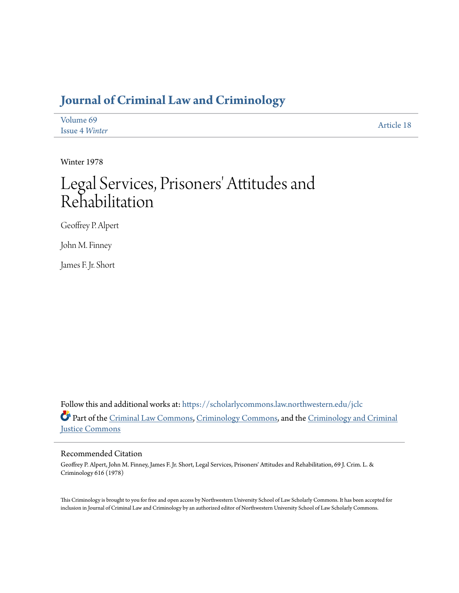# **[Journal of Criminal Law and Criminology](https://scholarlycommons.law.northwestern.edu/jclc?utm_source=scholarlycommons.law.northwestern.edu%2Fjclc%2Fvol69%2Fiss4%2F18&utm_medium=PDF&utm_campaign=PDFCoverPages)**

| Volume 69             | Article 18 |
|-----------------------|------------|
| <b>Issue 4 Winter</b> |            |

Winter 1978

# Legal Services, Prisoners' Attitudes and Rehabilitation

Geoffrey P. Alpert

John M. Finney

James F. Jr. Short

Follow this and additional works at: [https://scholarlycommons.law.northwestern.edu/jclc](https://scholarlycommons.law.northwestern.edu/jclc?utm_source=scholarlycommons.law.northwestern.edu%2Fjclc%2Fvol69%2Fiss4%2F18&utm_medium=PDF&utm_campaign=PDFCoverPages) Part of the [Criminal Law Commons](http://network.bepress.com/hgg/discipline/912?utm_source=scholarlycommons.law.northwestern.edu%2Fjclc%2Fvol69%2Fiss4%2F18&utm_medium=PDF&utm_campaign=PDFCoverPages), [Criminology Commons](http://network.bepress.com/hgg/discipline/417?utm_source=scholarlycommons.law.northwestern.edu%2Fjclc%2Fvol69%2Fiss4%2F18&utm_medium=PDF&utm_campaign=PDFCoverPages), and the [Criminology and Criminal](http://network.bepress.com/hgg/discipline/367?utm_source=scholarlycommons.law.northwestern.edu%2Fjclc%2Fvol69%2Fiss4%2F18&utm_medium=PDF&utm_campaign=PDFCoverPages) [Justice Commons](http://network.bepress.com/hgg/discipline/367?utm_source=scholarlycommons.law.northwestern.edu%2Fjclc%2Fvol69%2Fiss4%2F18&utm_medium=PDF&utm_campaign=PDFCoverPages)

# Recommended Citation

Geoffrey P. Alpert, John M. Finney, James F. Jr. Short, Legal Services, Prisoners' Attitudes and Rehabilitation, 69 J. Crim. L. & Criminology 616 (1978)

This Criminology is brought to you for free and open access by Northwestern University School of Law Scholarly Commons. It has been accepted for inclusion in Journal of Criminal Law and Criminology by an authorized editor of Northwestern University School of Law Scholarly Commons.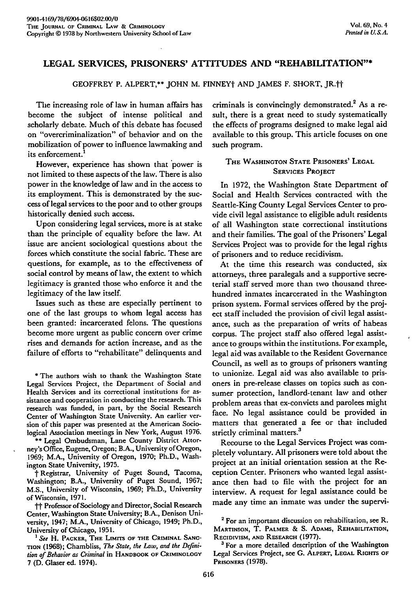### LEGAL SERVICES, PRISONERS' ATTITUDES AND "REHABILITATION"\*

GEOFFREY P. ALPERT,\*\* **JOHN** M. FINNEYt **AND JAMES** F. SHORT, **JR.'"**

The increasing role of law in human affairs has become the subject of intense political and scholarly debate. Much of this debate has focused on "overcriminalization" of behavior and on the mobilization of power to influence lawmaking and its enforcement.<sup>1</sup>

However, experience has shown that power is not limited to these aspects of the law. There is also power in the knowledge of law and in the access to its employment. This is demonstrated **by** the success of legal services to the poor and to other groups historically denied such access.

Upon considering legal services, more is at stake than the principle of equality before the law. At issue are ancient sociological questions about the forces which constitute the social fabric. These are questions, for example, as to the effectiveness of social control **by** means of law, the extent to which legitimacy is granted those who enforce it and the legitimacy of the law itself.

Issues such as these are especially pertinent to one of the last groups to whom legal access has been granted: incarcerated felons. The questions become more urgent as public concern over crime rises and demands for action increase, and as the failure of efforts to "rehabilitate" delinquents and

\* The authors wish **to** thank the Washington State Legal Services Project, the Department of Social and Health Services and its correctional institutions for assistance and cooperation in conducting the research. This research was funded, in part, **by** the Social Research Center of Washington State University. An earlier version of this paper was presented at the American Sociological Association meetings in New York, August **1976.**

\*\* Legal Ombudsman, Lane County District Attorney's Office, Eugene, Oregon; B.A., University of Oregon, **1969;** M.A., University of Oregon, **1970;** Ph.D., Washington State University, **1975.**

t Registrar, University of Puget Sound, Tacoma, Washington; B.A., University of Puget Sound, **1967; M.S.,** University of Wisconsin, **1969;** Ph.D., University of Wisconsin, **1971.**

**ft** Professor of Sociology and Director, Social Research Center, Washington State University; B.A., Denison University, 1947; M.A., University of Chicago, 1949; Ph.D., University of Chicago, **1951.**

*'See* H. **PACKER, THE LimiTs** OF **THE CRIMINAL SANC-TION (1968);** Chambliss, *The State, the Law, and the Definition of Behavior as Criminal* in HANDBOOK **OF CRIMINOLOGY** 7 **(D.** Glaser **ed.** 1974).

criminals is convincingly demonstrated.<sup>2</sup> As a result, there is a great need to study systematically the effects of programs designed to make legal aid available to this group. This article focuses on one such program.

#### **THE WASHINGTON STATE PRISONERS' LEGAL SERVICES PROJECT**

In **1972,** the Washington State Department of Social and Health Services contracted with the Seattle-King County Legal Services Center to provide civil legal assistance to eligible adult residents of all Washington state correctional institutions and their families. The goal of the Prisoners' Legal Services Project was to provide for the legal rights of prisoners and to reduce recidivism.

At the time this research was conducted, six attorneys, three paralegals and a supportive secreterial staff served more than two thousand threehundred inmates incarcerated in the Washington prison system. Formal services offered **by** the project staff included the provision of civil legal assistance, such as the preparation of writs of habeas corpus. The project staff also offered legal assistance to groups within the institutions. For example, legal aid was available to the Resident Governance Council, as well as to groups of prisoners wanting to unionize. Legal aid was also available to prisoners in pre-release classes on **topics** such as consumer protection, landlord-tenant law and other problem areas that ex-convicts and parolees might face. No legal assistance could be provided in matters that generated a fee or that included strictly criminal matters.<sup>3</sup>

Recourse to the Legal Services Project was completely voluntary. **All** prisoners were told about the project at an initial orientation session at the Reception Center. Prisoners who wanted legal assistance then had to file with the project for an interview. **A** request for legal assistance could be made any time an inmate was under the supervi-

**<sup>2</sup>** For an important discussion on rehabilitation, see R. **MARTINSON,** T. **PALMER** *&* **S. ADAMS, REHABILITATION,** RECIDIVISM, **AND** RESEARCH **(1977).**

**<sup>3</sup>**For a more detailed description of the Washington Legal Services Project, see **G. ALPERT, LEGAL** RIGrTS OF **PRISONERS (1978).**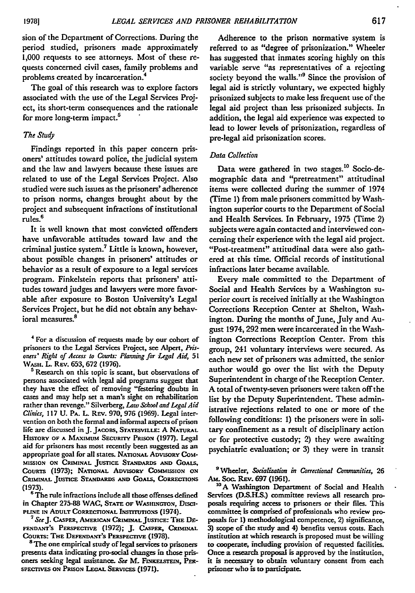sion of the Department of Corrections. During the period studied, prisoners made approximately **1,000** requests to see attorneys. Most of these requests concerned civil cases, family problems and problems created **by** incarceration.<sup>4</sup>

The goal of this research was to explore factors associated with the use of the Legal Services Project, its short-term consequences and the rationale for more long-term impact.<sup>5</sup>

#### *The Study*

Findings reported in this paper concern prisoners' attitudes toward police, the judicial system and the law and lawyers because these issues are related to use of the Legal Services Project. Also studied were such issues as the prisoners' adherence to prison norms, changes brought about by the project and subsequent infractions of institutional rules.6

It is well known that most convicted offenders have unfavorable attitudes toward law and the criminal justice system.7 Little is known, however, about possible changes in prisoners' attitudes or behavior as a result of exposure to a legal services program. Finkelstein reports that prisoners' attitudes toward judges and lawyers were more favorable after exposure to Boston University's Legal Services Project, but he did not obtain any behavioral measures.<sup>8</sup>

4 For a discussion of requests made **by** our cohort of prisoners to the Legal Services Project, see Alpert, Pris*onters' Right of Access to* Courts: *Planning for Legal Aid,* **51** WASH. L. REV. 653, **672 (1976).**

**5** Research on this topic is scant, but observations of persons associated with legal aid programs suggest that they have the effect of removing "festering doubts in cases and may help set a man's sight on rehabilitation rather than revenge." Silverberg, *Law School and Legal Aid Clinics,* **117 U.** PA. L REV. **970, 976 (1969).** Legal intervention on both the formal and informal aspects of prison life are discussed in **J. JACOBS, STATESVILLE:** A **NATURAL HISTORY OF A MAXIMUM SECURITY PRISON (1977). Legal** aid for prisoners has most recently been suggested as an appropriate goal for all states. NATIONAL **ADVISORY** Com-**MISSION ON CRIMINAL JUSTICE STANDARDS AND GOALS,** COURTS **(1973); NATIONAL ADVISORY ComMIssIO, ON** CRIMINAL JUSTICE STANDARDS AND GOALS, CORRECTIONS **(1973). 6 The** rule infractions include all those offenses defined

in Chapter **275-88 WAC, STATE OF WASHINGTON,** Discr-**PLINE IN ADULT CORRECTIONAL INSTITUTIONS (1974).** 

See J. Casper, American Criminal JUSTICE: The De-**FENDANr's PERSPECTrVE (1972); J. CASPER, CRIMINAL** COURTS: THE DEFENDANT'S PERSPECTIVE (1978).

**<sup>a</sup>**The one empirical study of legal services to prisoners presents data indicating pro-social changes in those pris oners seeking legal assistance. See M. FINKELSTEIN, PER**sPEcTIVES ON** PRISON **LEGL** SEavtcss **(1971).**

Adherence to the prison normative system is referred to as "degree of prisonization." Wheeler has suggested that inmates scoring **highly** on this variable serve "as representatives of a rejecting society beyond the walls."<sup>9</sup> Since the provision of legal aid is strictly voluntary, we expected **highly** prisonized subjects to make less frequent use of the legal aid project than less prisonized subjects. In addition, the legal aid experience was expected to lead to lower levels of prisonization, regardless of pre-legal aid prisonization scores.

#### *Data Collection*

Data were gathered in two stages.<sup>10</sup> Socio-demographic data and "pretreatment" attitudinal items were collected during the summer of 1974 (Time 1) from male prisoners committed by Washington superior courts to the Department of Social and Health Services. In February, 1975 (Time 2) subjects were again contacted and interviewed concerning their experience with the legal aid project. "Post-treatment" attitudinal data were also gathered at this time. Official records of institutional infractions later became available.

Every male committed to the Department of Social and Health Services **by** a Washington superior court is received initially at the Washington Corrections Reception Center at Shelton, Washington. During the months of June, July and August **1974,292** men were incarcerated in the Washington Corrections Reception Center. From this **group,** 241 voluntary interviews were secured. As each new set of prisoners was admitted, the senior author would go over the list with the Deputy Superintendent in charge of the Reception Center. **A** total of twenty-seven prisoners were taken off the list **by** the Deputy Superintendent. These administrative rejections related to one or more of the following conditions: **1)** the prisoners were in solitary confinement as a result of disciplinary action or for protective custody; 2) they were awaiting psychiatric evaluation; or **3)** they were in transit

<sup>9</sup> Wheeler, *Socialization in Correctional Communities,* **<sup>26</sup>**

**A&s** Soc. REy. **697 (1961). 10A** Washington Department of Social and Health Services **(D.S.H.S.)** committee reviews all research proposals requiring access to prisoners or their files. This committee is comprised of professionals who review proposals for **1)** methodological competence, 2) significance, **3)** scope of the study and 4) benefits versus costs. Each institution at which research is proposed must be willing to cooperate, including provision of requested facilities. Once a research proposal is approved **by** the institution, it is necessary **to** obtain voluntary consent from each prisoner who is to participate.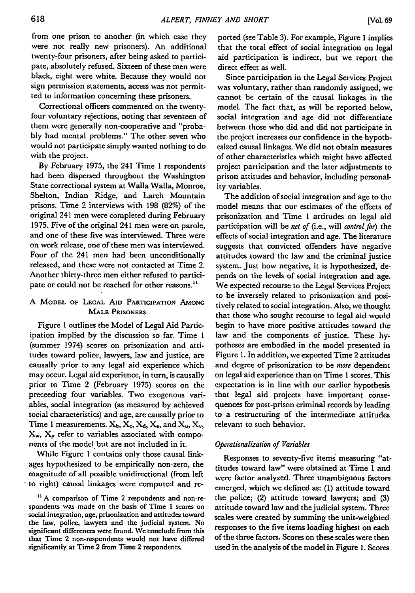*ALPERT, FINNEY AND SHORT*

from one prison to another (in which case they were not really new prisoners). An additional twenty-four prisoners, after being asked to participate, absolutely refused. Sixteen of these men were black, eight were white. Because they would not sign permission statements, access was not permitted to information concerning these prisoners.

Correctional officers commented on the twentyfour voluntary rejections, noting that seventeen of them were generally non-cooperative and "proba**bly** had mental problems." The other seven who would not participate simply wanted nothing to do with the project.

**By** February **1975,** the 241 Time **1** respondents had been dispersed throughout the Washington State correctional system at Walla Walla, Monroe, Shelton, Indian Ridge, and Larch Mountain prisons. Time 2 interviews with **198** (82%) of the original 241 men were completed during February **1975.** Five of the original 241 men were on parole, and one of these five was interviewed. Three were on work release, one of these men was interviewed. Four of the 241 men had been unconditionally released, and these were not contacted at Time 2. Another thirty-three men either refused to participate or could not be reached for other **reasons."**

#### A MODEL **OF LEGAL AID** PARTICIPATION AMONG **MALE PRISONERS**

Figure 1 outlines the Model of Legal Aid Participation implied by the discussion so far. Time 1 (summer 1974) scores on prisonization and attitudes toward police, lawyers, law and justice, are causally prior to any legal aid experience which may occur. Legal aid experience, in turn, is causally prior to Time 2 (February 1975) scores on the preceeding four variables. Two exogenous variables, social integration (as measured by achieved social characteristics) and age, are causally prior to Time 1 measurements.  $X_b$ ,  $X_c$ ,  $X_d$ ,  $X_e$ , and  $X_u$ ,  $X_v$ , Xw, **Xy** refer to variables associated with components of the model but are not included in it.

While Figure 1 contains only those causal linkages hypothesized to be empirically non-zero, the magnitude of all possible unidirectional (from left to right) causal linkages were computed and re-

**"** A comparison of Time 2 respondents and non-respondents was made on the basis of Time **1** scores on social integration, age, prisonization and attitudes toward the law, police, lawyers and the judicial system. No significant differences were found. We conclude from this that Time 2 non-respondents would not have differed significantly at Time *2-* from Time 2 respondents.

ported (see Table **3).** For example, Figure 1 implies that the total effect of social integration on legal aid participation is indirect, but we report the direct effect as well.

Since participation in the Legal Services Project was voluntary, rather than randomly assigned, we cannot be certain of the causal linkages in the model. The fact that, as will be reported below, social integration and age did not differentiate between those who did and did not participate in the project increases our confidence in the hypothesized causal linkages. We did not obtain measures of other characteristics which might have affected project participation and the later adjustments to prison attitudes and behavior, including personality variables.

The addition of social integration and age to the model means that our estimates of the effects of prisonization and Time **1** attitudes on legal aid participation will be *net of* (i.e., will *control for)* the effects of social integration and age. The literature suggests that convicted offenders have negative attitudes toward the law and the criminal justice system. Just how negative, it is hypothesized, depends on the levels of social integration and age. We expected recourse to the Legal Services Project to be inversely related to prisonization and positively related to social integration. Also, we thought that those who sought recourse to legal aid would begin to have more positive attitudes toward the law and the components of justice. These **hy**potheses are embodied in the model presented in Figure **1.** In addition, we expected Time 2 attitudes and degree of prisonization to be *more* dependent on legal aid experience than on Time **1** scores. This expectation is in line with our earlier hypothesis that legal aid projects have important consequences for post-prison criminal records **by** leading to a restructuring of the intermediate attitudes relevant to such behavior.

#### *Operationalization of Variables*

Responses to seventy-five items' measuring "attitudes toward law" were obtained at Time **1** and were factor analyzed. Three unambiguous factors emerged, which we defined as: **(1)** attitude toward the police; (2) attitude toward lawyers; and **(3)** attitude toward law and the judicial system. Three scales were created **by** summing the unit-weighted responses to the five items loading highest on each of the three factors. Scores on these scales were then used in the analysis of the model in Figure **1.** Scores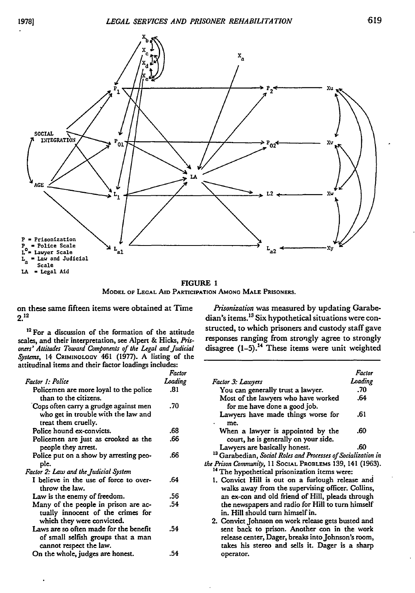

**FIGURE 1 MODEL OF LEGAL AID PARTICIPATION AMONG MALE PRISONERS.**

on these same fifteen items were obtained at Time 2.12

<sup>12</sup> For a discussion of the formation of the attitude scales, and their interpretation, see Alpert **&** Hicks, *Prisontrs' Attitudes Toward Components of the Legal and Judicial Systems,* 14 **CRIMINOLOGY** 461 (1977). A listing of the attitudinal items and their factor loadings includes:

| Factor 1: Police                                                                                        | Loading |
|---------------------------------------------------------------------------------------------------------|---------|
| Policemen are more loyal to the police<br>than to the citizens.                                         | .81     |
| Cops often carry a grudge against men<br>who get in trouble with the law and<br>treat them cruelly.     | .70     |
| Police hound ex-convicts.                                                                               | .68     |
| Policemen are just as crooked as the<br>people they arrest.                                             | .66     |
| Police put on a show by arresting peo-<br>ple.                                                          | .66     |
| Factor 2: Law and the Judicial System                                                                   |         |
| I believe in the use of force to over-<br>throw the law.                                                | .64     |
| Law is the enemy of freedom.                                                                            | .56     |
| Many of the people in prison are ac-<br>tually innocent of the crimes for<br>which they were convicted. | .54     |
| Laws are so often made for the benefit<br>of small selfish groups that a man<br>cannot respect the law. | .54     |
| On the whole, judges are honest.                                                                        | .54     |
|                                                                                                         |         |

*Prisonization* was measured **by** updating Garabedian's items.<sup>13</sup> Six hypothetical situations were constructed, to which prisoners and custody staff gave responses ranging from strongly agree to strongly disagree (1-5).<sup>14</sup> These items were unit weighted

|                                                           | Factor                                                                                                                                                                                                      |
|-----------------------------------------------------------|-------------------------------------------------------------------------------------------------------------------------------------------------------------------------------------------------------------|
| Factor 3: Lawyers                                         | Loading                                                                                                                                                                                                     |
| You can generally trust a lawyer.                         | .70                                                                                                                                                                                                         |
|                                                           | .64                                                                                                                                                                                                         |
| for me have done a good job.                              |                                                                                                                                                                                                             |
| Lawyers have made things worse for                        | .61                                                                                                                                                                                                         |
| me.                                                       |                                                                                                                                                                                                             |
| When a lawyer is appointed by the                         | .60                                                                                                                                                                                                         |
|                                                           |                                                                                                                                                                                                             |
| Lawyers are basically honest.                             | .60                                                                                                                                                                                                         |
|                                                           |                                                                                                                                                                                                             |
| the Prison Community, 11 SOCIAL PROBLEMS 139, 141 (1963). |                                                                                                                                                                                                             |
| <sup>14</sup> The hypothetical prisonization items were:  |                                                                                                                                                                                                             |
|                                                           |                                                                                                                                                                                                             |
| walks away from the supervising officer. Collins,         |                                                                                                                                                                                                             |
| an ex-con and old friend of Hill, pleads through          |                                                                                                                                                                                                             |
| the newspapers and radio for Hill to turn himself         |                                                                                                                                                                                                             |
| in. Hill should turn himself in.                          |                                                                                                                                                                                                             |
|                                                           | Most of the lawyers who have worked<br>court, he is generally on your side.<br><sup>13</sup> Garabedian, Social Roles and Processes of Socialization in<br>1. Convict Hill is out on a furlough release and |

2. Convict Johnson on work release gets busted and sent back to prison. Another con in the work release center, Dager, breaks into Johnson's room, takes his stereo and sells it. Dager is a sharp operator.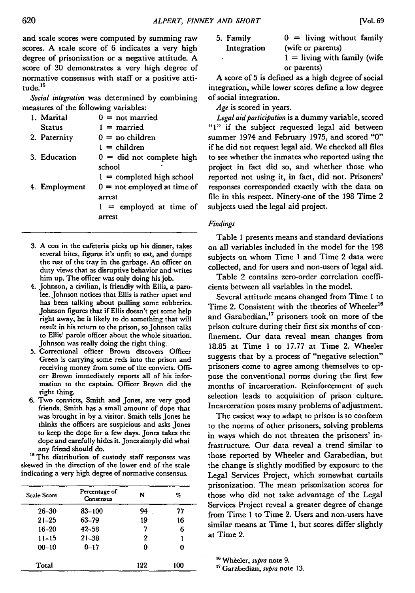and scale scores were computed **by** summing raw scores. A scale score of **6** indicates a very high degree of prisonization or a negative attitude. **A** score of **30** demonstrates a very high degree of normative consensus with staff or a positive attinorma<br>tude.<sup>15</sup>

*Social integration* was determined **by** combining measures of the following variables:

| 1. Marital    | $0 =$ not married             |
|---------------|-------------------------------|
| Status        | $1 =$ married                 |
| 2. Paternity  | $0 =$ no children             |
|               | $1 =$ children                |
| 3. Education  | $0 =$ did not complete high   |
|               | school                        |
|               | $1 =$ completed high school   |
| 4. Employment | $0 =$ not employed at time of |
|               | arrest                        |
|               | $1 =$ employed at time of     |
|               | arrest                        |
|               |                               |

- **3. A** con in the cafeteria picks up his dinner, takes several bites, figures it's unfit to eat, and dumps the rest of the tray in the garbage. An officer on duty views that as disruptive behavior and writes him up. The officer was only doing his **job.**
- 4. Johnson, a civilian, is friendly with Ellis, a parolee. Johnson notices that Ellis is rather upset and has been talking about pulling some robberies. Johnson figures that if Ellis doesn't get some help right away, he is likely to do something that will result in his return to the prison, so Johnson talks to Ellis' parole officer about the whole situation. Johnson was really doing the right thing.
- **5.** Correctional officer Brown discovers Officer Green is carrying some reds into the prison and receiving money from some of the convicts. **Offi-** cer Brown immediately reports all of his information to the captain. Officer Brown did the right thing.
- **6.** Two convicts, Smith and Jones, are very good friends. Smith has a small amount of dope that was brought in **by** a visitor. Smith tells Jones he thinks the officers are suspicious and asks Jones to keep the dope for a few days. Jones takes the dope and carefully hides it. Jones simply did what any friend should do.

<sup>15</sup> The distribution of custody staff responses was skewed in the direction of the lower end of the scale indicating a very high degree of normative consensus.

| Scale Score | Percentage of<br>Consensus | N   | z,  |
|-------------|----------------------------|-----|-----|
| $26 - 30$   | 83-100                     | 94  | 77  |
| $21 - 25$   | 63-79                      | 19  | 16  |
| $16 - 20$   | $42 - 58$                  | 7   | 6   |
| 11-15       | $21 - 38$                  | 2   |     |
| $00 - 10$   | $0 - 17$                   | 0   | o   |
| Total       |                            | 122 | 100 |

| 5. Family   | $0 =$ living without family    |
|-------------|--------------------------------|
| Integration | (wife or parents)              |
|             | $1 =$ living with family (wife |
|             | or parents)                    |

A score of 5 is defined as a high degree of social integration, while lower scores define a low degree of social integration.

*Age* is scored in years.

*Legal aid participation* is a dummy variable, scored "1" if the subject requested legal aid between summer 1974 and February 1975, and scored "0" if he did not request legal aid. We checked all files to see whether the inmates who reported using the project in fact did so, and whether those who reported not using it, in fact, did not. Prisoners' responses corresponded exactly with the data on file in this respect. Ninety-one of the 198 Time 2 subjects used the legal aid project.

#### *Findings*

Table 1 presents means and standard deviations on all variables included in the model for the 198 subjects on whom Time 1 and Time 2 data were collected, and for users and non-users of legal aid.

Table 2 contains zero-order correlation coefficients between all variables in the model.

Several attitude means changed from Time I to Time 2. Consistent with the theories of Wheeler<sup>16</sup> and Garabedian,<sup>17</sup> prisoners took on more of the prison culture during their first six months of confinement. Our data reveal mean changes from 18.85 at Time 1 to 17.77 at Time 2. Wheeler suggests that by a process of "negative selection" prisoners come to agree among themselves to oppose the conventional norms during the first few months of incarceration. Reinforcement of such selection leads to acquisition of prison culture. Incarceration poses many problems of adjustment.

The easiest way to adapt to prison is to conform to the norms of other prisoners, solving problems in ways which do not threaten the prisoners' infrastructure. Our data reveal a trend similar to those reported by Wheeler and Garabedian, but the change is slightly modified by exposure to the Legal Services Project, which somewhat curtails prisonization. The mean prisonization scores for those who did not take advantage of the Legal Services Project reveal a greater degree of change from Time 1 to Time 2. Users and non-users have similar means at Time 1, but scores differ slightly at Time 2.

**<sup>16</sup>**Wheeler, *supra* note **9. <sup>17</sup>**Garabedian, *supra* note **13.**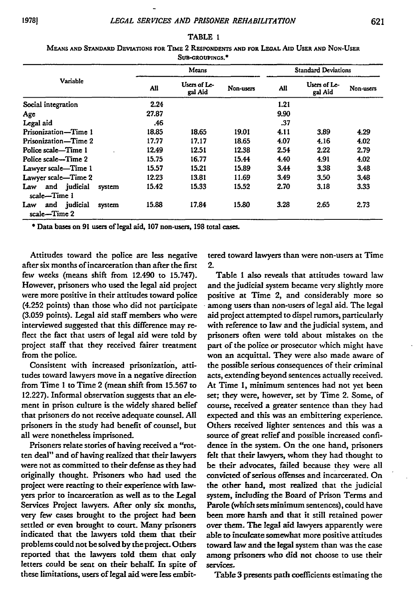#### TABLE **1**

|                                               |       | Means                   |           |      | <b>Standard Deviations</b> |           |
|-----------------------------------------------|-------|-------------------------|-----------|------|----------------------------|-----------|
| Variable                                      | All   | Users of Le-<br>gal Aid | Non-users | All  | Users of Le-<br>gal Aid    | Non-users |
| Social integration                            | 2.24  |                         |           | 1.21 |                            |           |
| Age                                           | 27.87 |                         |           | 9.90 |                            |           |
| Legal aid                                     | .46   |                         |           | .37  |                            |           |
| Prisonization-Time 1                          | 18.85 | 18.65                   | 19.01     | 4.11 | 3.89                       | 4.29      |
| Prisonization-Time 2                          | 17.77 | 17.17                   | 18.65     | 4.07 | 4.16                       | 4.02      |
| Police scale—Time 1                           | 12.49 | 12.51                   | 12.38     | 2.54 | 2.22                       | 2.79      |
| Police scale—Time 2                           | 15.75 | 16.77                   | 15.44     | 4.40 | 4.91                       | 4.02      |
| Lawyer scale-Time 1                           | 15.57 | 15.21                   | 15.89     | 3.44 | 3.38                       | 3.48      |
| Lawyer scale-Time 2                           | 12.23 | 13.81                   | 11.69     | 3.49 | 3.50                       | 3.48      |
| and judicial<br>Law<br>system<br>scale-Time 1 | 15.42 | 15.33                   | 15.52     | 2.70 | 3.18                       | 3.33      |
| and judicial<br>Law<br>system<br>scale-Time 2 | 15.88 | 17.84                   | 15.80     | 3.28 | 2.65                       | 2.73      |

**MEANS AND STANDARD** DEviATzoNs **FOR** TrME 2 **RESPONDENTS AND FOR** LEOAL **AID USER AND** NoN-UsER **SUB-GROUPINGS.\***

**\*** Data bases on **91** users of legal aid, **107** non-users, **198** total cases.

Attitudes toward the police are less negative after six months of incarceration than after the first few weeks (means shift from 12.490 to **15.747).** However, prisoners who used the legal aid project were more positive in their attitudes toward police (4.252 points) than those who did not participate **(3.059** points). Legal aid staff members who were interviewed suggested that this difference may reflect the fact that users of legal aid were told **by** project staff that they received fairer treatment from the police.

Consistent with increased prisonization, attitudes toward lawyers move in a negative direction from Time 1 to Time 2 (mean shift from 15.567 to 12.227). Informal observation suggests that an element in prison culture is the widely shared belief that prisoners do not receive adequate counsel. **All** prisoners in the study had benefit of counsel, but all were nonetheless imprisoned.

Prisoners relate stories of having received a "rotten deal" and of having realized that their lawyers were not as committed to their defense as they had originally thought. Prisoners who had used the project were reacting to their experience with lawyers prior to incarceration as well as to the Legal Services Project lawyers. After only six months, very few cases brought to the project had been settled or even brought to court. Many prisoners indicated that the lawyers told them that their problems could not be solved **by** the project. Others reported that the lawyers told them that only letters could be sent on their behalf. **In** spite of these limitations, users of legal aid were less embittered toward lawyers than were non-users at Time 2.

Table **I** also reveals that attitudes toward law and the judicial system became very slightly more positive at Time 2, and considerably more so among users than non-users of legal aid. The legal aid project attempted to dispel rumors, particularly with reference to law and the judicial system, and prisoners often were told about mistakes on the part of the police or prosecutor which might have won an acquittal. They were also made aware of the possible serious consequences of their criminal acts, extending beyond sentences actually received. At Time I, minimum sentences had not yet been set; they were, however, set by Time 2. Some, of course, received a greater sentence than they had expected and this was an embittering experience. Others received lighter sentences and this was a source of great relief and possible increased confidence in the system. On the one hand, prisoners felt that their lawyers, whom they had thought to be their advocates, failed because they were all convicted of serious offenses and incarcerated. On the other hand, most realized that the judicial system, including the Board of Prison Terms and Parole (which sets minimum sentences), could have been more harsh and that it still retained power over them. The legal aid lawyers apparently were able to inculcate somewhat more positive attitudes toward law and the legal system than was the case among prisoners who did not choose to use their services.

Table **3** presents path coefficients estimating the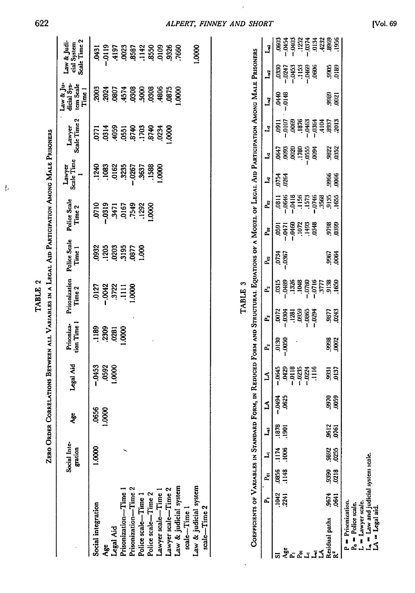|                                                                                                                                                                                                                                                                |                     |               |                         |                                | Zero Order Correlations Between all Variables in a Legal Aid Participation Among Male Prisoners                                                  |                              |                                                                                                                                               |                                                 |                                                              |                                                                |                                                                         |                                                                                                                 |                                                                                |                                                     |                                                                                        |
|----------------------------------------------------------------------------------------------------------------------------------------------------------------------------------------------------------------------------------------------------------------|---------------------|---------------|-------------------------|--------------------------------|--------------------------------------------------------------------------------------------------------------------------------------------------|------------------------------|-----------------------------------------------------------------------------------------------------------------------------------------------|-------------------------------------------------|--------------------------------------------------------------|----------------------------------------------------------------|-------------------------------------------------------------------------|-----------------------------------------------------------------------------------------------------------------|--------------------------------------------------------------------------------|-----------------------------------------------------|----------------------------------------------------------------------------------------|
|                                                                                                                                                                                                                                                                |                     |               | Social Inte-<br>gration | Åge                            | Legal Aid                                                                                                                                        | Prisoniza-<br>tion Time 1    | Prisonization<br>Time 2                                                                                                                       | Police Scale<br>Time 1                          |                                                              | Police Scale<br>Time 2                                         | Scale Time<br>Lawyer                                                    | Scale Time 2<br>Lawyer                                                                                          | Law & Ju-<br>dicial Sys-<br>tem Scale<br>Time 1                                |                                                     | Scale Time 2<br>Law & Judi-<br>cial System                                             |
| Law & judicial system<br>Law & judicial system<br>Prisonization-Time 2<br>Lawyer scale-Time 2<br>Prisonization-Time<br>Lawyer scale-Time<br>Police scale-Time 2<br>Police scale-Time<br>Social integration<br>scale-Time 2<br>scale-Time 1<br>Legal Aid<br>Åge |                     |               | 1.0000                  | .0656<br>1,0000                | .0453<br>,0592<br>1.0000                                                                                                                         | 1189<br>2309<br>.0281<br>880 | .0042<br>3722<br>1111<br>00001<br>0127                                                                                                        | 1205<br>3195<br>CISO.<br>D.000<br>.0203<br>0932 |                                                              | 0710<br>0319<br>7549<br>0167<br>1292<br>880<br>3471            | 1240<br>1083<br>.0162<br>.3235<br>.3637<br>$-0.0267$<br>.1588<br>1.0000 | .0314<br>4059<br>8740<br>.1703<br>8740<br>0234<br>0551<br>88<br>077                                             | 2003<br>2024<br>4574<br>.0308<br>5000<br>.0308<br>4806<br>,0807<br>.0875<br>88 |                                                     | 0119<br>.1142<br>1.0000<br>4197<br>.0023<br>,8587<br>8550<br>0109<br>9326<br>7660<br>3 |
|                                                                                                                                                                                                                                                                |                     |               |                         |                                |                                                                                                                                                  |                              | TABLE 3                                                                                                                                       |                                                 |                                                              |                                                                |                                                                         |                                                                                                                 |                                                                                |                                                     |                                                                                        |
|                                                                                                                                                                                                                                                                |                     |               |                         |                                | Coefficients of Variables in Standard Form, in Reduced Form and Structural Equations of a Model, of Legal Aid Participation Among Male Prisoners |                              |                                                                                                                                               |                                                 |                                                              |                                                                |                                                                         |                                                                                                                 |                                                                                |                                                     |                                                                                        |
|                                                                                                                                                                                                                                                                | Ā,                  | ڲؖ            | تہ                      | 7<br>تًد                       | Z                                                                                                                                                | ċ,                           | È,<br>c,                                                                                                                                      | ۹ë<br>Pë                                        | ڲۣ                                                           | L                                                              | 2                                                                       | 2<br>2                                                                                                          | ڻا                                                                             | ڐ                                                   | $L_{el}$                                                                               |
| ង្គុំ<br><u> ជំ 5</u>                                                                                                                                                                                                                                          | $1042$<br>$2241$    | ,0856<br>1148 | .1174<br>.1006          | - 0494<br>- 0625<br>1878<br>ği | 0429<br>$-0118$<br>$-.0645$<br>$-0235$<br>$-0224$<br>1116                                                                                        | $-0050$<br>$\frac{8}{2}$     | $-0716$<br>3777<br>.1326<br>1048<br>$rac{0315}{20}$<br>$-0489$<br>$-0780$<br><b>SSG</b><br>$-0304$<br>$-0294$<br><b>SS</b><br>$-0865$<br>1281 | .0734<br>$-0367$                                | 1072<br>1493<br>0348<br>$-0460$<br>$-0471$<br>$\overline{3}$ | $-0418$<br>1156<br>1573<br>$-0646$<br>$-0746$<br>$\frac{1}{8}$ | 6754<br>0264                                                            | $-0107$<br>ິ່ສຸ<br>.1876<br>$-0463$<br>$-0364$<br>$\overline{5}$<br>8<br>$\frac{8}{2}$<br>1780<br>Š<br>894<br>Ë | 0440<br>$-0.148$                                                               | $-0247$<br>$-0453$<br>.1153<br>$-0469$<br>330<br>ww | $1252$<br>$-0374$<br>332<br>14232<br>-0454<br>-0403<br><b>SSC</b>                      |
| Residual paths<br>R <sup>2</sup>                                                                                                                                                                                                                               | 9674<br><b>G641</b> | 9390<br>0218  | <b>9892</b><br>0255     | <b>9612</b><br>0761            | <b>SEE</b><br>0137<br>970<br>059                                                                                                                 | 9666<br><b>9002</b>          | 9138<br>1650<br>9877<br>0243                                                                                                                  | <b>SHIP</b><br>3                                | 9799<br>9839                                                 | 9135<br>3568<br><b>SS</b>                                      | 9966<br><b>S</b>                                                        | 8937<br>2013<br>$rac{4104}{ }$<br>9822<br>0.152                                                                 | <b>SBGS</b><br>$\overline{a}$                                                  | <b>SORS</b><br>$\frac{8}{5}$                        | 8969<br>Š                                                                              |
| $P = Prionization$<br>$P0 = Police scale.$                                                                                                                                                                                                                     |                     |               |                         |                                |                                                                                                                                                  |                              |                                                                                                                                               |                                                 |                                                              |                                                                |                                                                         |                                                                                                                 |                                                                                |                                                     |                                                                                        |

 $\frac{1}{4}z$ 

TABLE 2

622

## *ALPERT, FINNEY AND SHORT*

 $\ddot{\phantom{0}}$ 

[Vol. **69**

L' = Lawyer scale.<br>L<sub>a</sub> = Law and judicial system scale.<br>LA = Legal aid.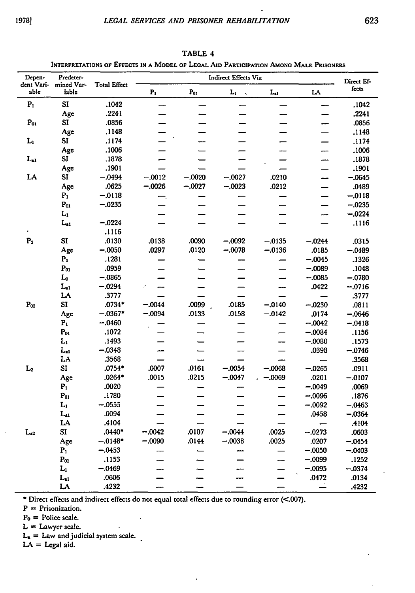| Depen-           | Predeter-                      | INTERPRETATIONS OF EFFECTS IN A MODEL OF LEGAL AID PARTICIPATION AMONG MALE PRISONERS |                         |          | <b>Indirect Effects Via</b> |          |          | Direct Ef- |
|------------------|--------------------------------|---------------------------------------------------------------------------------------|-------------------------|----------|-----------------------------|----------|----------|------------|
| able             | dent Vari- mined Var-<br>iable | <b>Total Effect</b>                                                                   | $\mathbf{P}_\mathbf{1}$ | $P_{01}$ | $L_1$<br>$\sim$             | $L_{11}$ | LA       | fects      |
| $P_1$            | SI                             | .1042                                                                                 |                         |          |                             |          |          | .1042      |
|                  | Age                            | .2241                                                                                 |                         |          |                             |          |          | .2241      |
| $P_{01}$         | SI                             | .0856                                                                                 |                         |          |                             |          |          | .0856      |
|                  | Age                            | .1148                                                                                 |                         |          |                             |          |          | .1148      |
| L                | SI                             | .1174                                                                                 |                         |          |                             |          |          | .1174      |
|                  | Age                            | .1006                                                                                 |                         |          |                             |          |          | .1006      |
| $L_{21}$         | SI                             | .1878                                                                                 |                         |          |                             |          |          | .1878      |
|                  | Age                            | .1901                                                                                 |                         |          |                             |          |          | .1901      |
| LA               | SI                             | $-.0494$                                                                              | $-.0012$                | $-.0020$ | $-.0027$                    | .0210    |          | $-.0645$   |
|                  | Age                            | .0625                                                                                 | $-.0026$                | $-.0027$ | $-.0023$                    | .0212    |          | .0489      |
|                  | $P_1$                          | $-.0118$                                                                              |                         |          |                             |          |          | $-.0118$   |
|                  | $P_{01}$                       | $-.0235$                                                                              |                         |          |                             |          |          | $-.0235$   |
|                  | $L_1$                          |                                                                                       |                         |          |                             |          |          | $-.0224$   |
|                  | $L_{nl}$                       | $-.0224$                                                                              |                         |          |                             |          |          | .1116      |
|                  |                                | .1116                                                                                 |                         |          |                             |          |          |            |
| $\mathbf{P_{2}}$ | SI                             | .0130                                                                                 | .0138                   | .0090    | $-.0092$                    | $-.0135$ | $-.0244$ | .0315      |
|                  | Age                            | $-.0050$                                                                              | .0297                   | .0120    | $-.0078$                    | $-.0136$ | .0185    | $-.0489$   |
|                  | $P_1$                          | .1281                                                                                 |                         |          |                             |          | $-.0045$ | .1326      |
|                  | $P_{01}$                       | .0959                                                                                 |                         |          |                             |          | $-.0089$ | .1048      |
|                  | L,                             | $-.0865$                                                                              |                         |          |                             |          | $-.0085$ | $-.0780$   |
|                  | $L_{a1}$                       | $-.0294$                                                                              |                         |          |                             |          | .0422    | $-.0716$   |
|                  | LΑ                             | .3777                                                                                 |                         |          |                             |          |          | .3777      |
| $P_{02}$         | SI                             | $.0734*$                                                                              | $-.0044$                | .0099    | .0185                       | $-.0140$ | $-.0230$ | .0811      |
|                  | Age                            | $-.0367*$                                                                             | $-.0094$                | .0133    | .0158                       | $-.0142$ | .0174    | $-.0646$   |
|                  | $P_{1}$                        | $-.0460$                                                                              |                         |          |                             |          | $-.0042$ | $-.0418$   |
|                  | $P_{01}$                       | .1072                                                                                 |                         |          |                             |          | $-.0084$ | .1156      |
|                  | L,                             | .1493                                                                                 |                         |          |                             |          | $-.0080$ | .1573      |
|                  | $L_{11}$                       | $-.0348$                                                                              |                         |          |                             |          | .0398    | $-.0746$   |
|                  | LA                             | .3568                                                                                 |                         |          |                             |          |          | .3568      |
| L <sub>2</sub>   | <b>SI</b>                      | $.0754*$                                                                              | .0007                   | .0161    | $-.0054$                    | $-.0068$ | $-.0265$ | .0911      |
|                  | Age                            | $.0264*$                                                                              | .0015                   | .0215    | $-.0047$                    | $-.0069$ | .0201    | $-.0107$   |
|                  | $P_1$                          | .0020                                                                                 |                         |          |                             |          | $-.0049$ | .0069      |
|                  | $P_{01}$                       | .1780                                                                                 |                         |          |                             |          | $-.0096$ | .1876      |
|                  | $L_1$                          | $-.0555$                                                                              |                         |          |                             |          | $-.0092$ | $-.0463$   |
|                  | $L_{21}$                       | .0094                                                                                 |                         |          |                             |          | .0458    | $-.0364$   |
|                  | LA                             | .4104                                                                                 |                         |          |                             |          |          | .4104      |
| $L_{22}$         | SI                             | .0440*                                                                                | $-.0042$                | .0107    | $-.0044$                    | .0025    | $-.0273$ | .0603      |
|                  | Age                            | $-.0148*$                                                                             | $-.0090$                | .0144    | $-.0038$                    | .0025    | .0207    | $-.0454$   |
|                  | P <sub>1</sub>                 | $-.0453$                                                                              |                         |          |                             |          | $-.0050$ | $-.0403$   |
|                  | $P_{01}$                       | .1153                                                                                 |                         |          |                             |          | $-.0099$ | .1252      |
|                  | Lı                             | -.0469                                                                                |                         |          |                             |          | $-.0095$ | $-.0374$   |
|                  | L.,                            | .0606                                                                                 |                         |          |                             |          | .0472    | .0134      |
|                  | LA                             | .4232                                                                                 |                         |          |                             |          |          | .4232      |

TABLE 4

\* Direct effects and indirect effects do not equal total effects due to rounding error **(<.007).**

 $\ddot{\phantom{a}}$ 

P **=** Prisonization.

Po **=** Police scale.

L **=** Lawyer scale.

 $L_a =$  Law and judicial system scale.

 $LA = Legal aid.$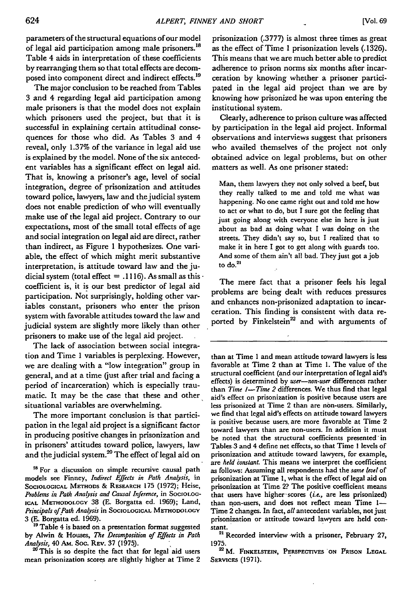parameters of the structural equations of our model of legal aid participation among male prisoners.'<sup>8</sup> Table 4 aids in interpretation of these coefficients by rearranging them so that total effects are decomposed into component direct and indirect effects.<sup>19</sup>

The major conclusion to be reached from Tables 3 and 4 regarding legal aid participation among male prisoners is that the model does not explain which prisoners used the project, but that it is successful in explaining certain attitudinal consequences for those who did. As Tables 3 and 4 reveal, only 1.37% of the variance in legal aid use is explained by the model. None of the six antecedent variables has a significant effect on legal aid. That is, knowing a prisoner's age, level of social integration, degree of prisonization and attitudes toward police, lawyers, law and the judicial system does not enable prediction of who will eventually make use of the legal aid project. Contrary to our expectations, most of the small total effects of age and social integration on legal aid are direct, rather than indirect, as Figure 1 hypothesizes. One variable, the effect of which might merit substantive interpretation, is attitude toward law and the judicial system (total effect  $= .1116$ ). As small as thiscoefficient is, it is our best predictor of legal aid participation. Not surprisingly, holding other variables constant, prisoners who enter the prison system with favorable attitudes toward the law and judicial system are slightly more likely than other prisoners to make use of the legal aid project.

The lack of association between social integration and Time **1** variables is perplexing. However, we are dealing with a "low integration" group in general, and at a time (just after trial and facing a period of incarceration) which is especially traumatic. It may be the case that these and other situational variables are overwhelming.

The more important conclusion is that participation in the legal aid project is a significant factor in producing positive changes in prisonization and in prisoners' attitudes toward police, lawyers, law and the judicial system.20 The effect of legal aid on

**<sup>18</sup>**For a discussion on simple recursive causal path models see Finney, *Indirect Effects in Path Analysis,* in Sociological Methods & Research 175 (1972); Heise, *Problems in Path Analysis and Causal Inference,* in Sociot.oc-**ICAL METHODOLOGY** 38 (E. Borgatta ed. 1969); Land, *Principals of.Path Analysis* in **SOCIOLOGICAL METHODOLOGY** 3 (E. Borgatta ed. 1969).

<sup>19</sup> Table 4 is based on a presentation format suggested by Alwin & Houses, *The Decomposition of Effects in Path Analysis,* 40 AM. Soc. REv. 37 (1975).

z'This is so despite the fact that for legal aid users mean prisonization scores are slightly higher at Time 2

prisonization (.3777) is almost three times as great as the effect of Time **1** prisonization levels (.1326). This means that we are much better able to predict adherence to prison norms six months after incarceration by knowing whether a prisoner participated in the legal aid project than we are by knowing how prisonized he was upon entering the institutional system.

Clearly, adherence to prison culture was affected by participation in the legal aid project. Informal observations and interviews suggest that prisoners who availed themselves of the project not only obtained advice on legal problems, but on other matters as well. As one prisoner stated:

Man, them lawyers they not only solved a beef, but they really talked to me and told me what was happening. No one came right out and told me how to act or what to do, but I sure got the feeling that just going along with everyone else in here is just about as bad as doing what I was doing on the streets. They didn't say so, but I realized that to make it in here I got to get along with guards too. And some of them ain't all bad. They just got a job to  $do.<sup>21</sup>$ 

The mere fact that a prisoner feels his legal problems are being dealt with reduces pressures and enhances non-prisonized adaptation to incarceration. This finding is consistent with data reported by Finkelstein<sup>22</sup> and with arguments of

than at Time 1 and mean attitude toward lawyers is less favorable at Time 2 than at Time **1.** The value of the structural coefficient (and our interpretation of legal aid's effects) is determined by *user-non-user* differences rather than *Time I-Time 2* differences. We thus find that legal aid's effect on prisonization is positive because users are less prisonized at Time 2 than are non-users. Similarly, we find that legal aid's effects on attitude toward lawyers is positive because users, are more favorable at Time 2 toward lawyers than **are** non-users. In addition it must be noted that the structural coefficients presented'in Tables .3 and 4 define net effects, so that Time **I** levels of prisonization and attitude toward lawyers, for example, are *held constant.* This means we interpret the coefficient as follows: Assuming all respondents had the *same level* of prisonization at Time **1,** what is the effect of legal aid on prisonization at Time 2? The positive coefficient means that users have higher scores *(i.e.,* are less prisonized) than non-users, and does not reflect mean Time **I-**Time 2 changes. In fact, *all* antecedent variables, not just prisonization or attitude toward lawyers are held constant.

**2I** Recorded interview -with a prisoner, February **27,** 1975.

2 M. FINKELSTEIN, PERspEcnVEs **'ON** PRISON **LEGAL** SERVICES (1971)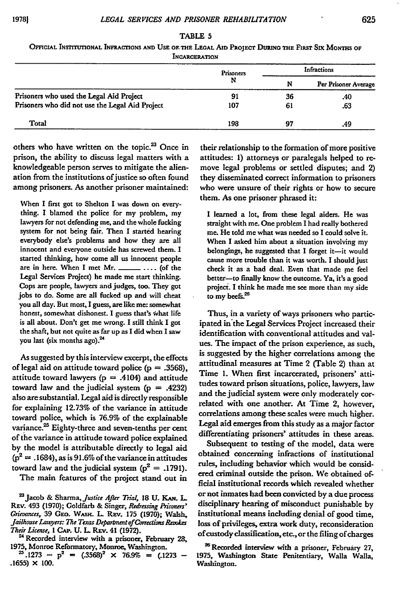#### TABLE **5**

**OFFICIAL INSTITUTIONAL** INFRACTIONS **AND** USE OF. THE **LEGAL AID** PROJEcT **DURING THE** FIRST Six **MoNTHs** OF

**INCARCERATION**

|                                                 | Prisoners |    | Infractions          |  |
|-------------------------------------------------|-----------|----|----------------------|--|
|                                                 | N         | N  | Per Prisoner Average |  |
| Prisoners who used the Legal Aid Project        | 91        | 36 | .40                  |  |
| Prisoners who did not use the Legal Aid Project | 107       | 61 | .63                  |  |
| Total                                           | 198       | 97 | .49                  |  |

others who have written on the topic. $23$  Once in prison, the ability to discuss legal matters with a knowledgeable person serves to mitigate the alienation from the institutions of justice so often found among prisoners. As another prisoner maintained:

When I first got to Shelton I was down on everything. I blamed the police for my problem, my lawyers for not defending me, and the whole fucking system for not being fair. Then I started hearing everybody else's problems and how they are all innocent and everyone outside has screwed them. I started thinking, how come all us innocent people are in here. When I met Mr. **- ....** (of the Legal Services Project) he made me start thinking. Cops are people, lawyers and judges, too. They got jobs to do. Some are all fucked up and will cheat you all day. But most, I guess, are like me: somewhat honest, somewhat dishonest. **I** guess that's what life is all about. Don't get me wrong. I still think I got the shaft, but not quite as far up as I did when I saw you last (six months ago).<sup>24</sup>

As suggested **by** this interview excerpt, the effects of legal aid on attitude toward police (p **=** .3568), attitude toward lawyers  $(p = .4104)$  and attitude toward law and the judicial system (p **= .4232)** also are substantial. Legal aid is directly responsible for explaining **12.73%** of the variance in attitude toward police, which is **76.9%** of the explainable variance.<sup>25</sup> Eighty-three and seven-tenths per cent of the variance in attitude toward police explained **by** the model is attributable directly to legal aid  $(p^2 = .1684)$ , as is 91.6% of the variance in attitudes toward law and the judicial system  $(p^2 = .1791)$ .

The main features of the project stand out in

<sup>23</sup> Jacob & Sharma, Justice After Trial, 18 U. KAN. L. REV. 493 (1970); Goldfarb & Singer, *Redressing Prisoners' Gdevances,* **<sup>39</sup>**Go. WAL **L. REv. 175 (1970);** Walsh, *Jailhouse Lawyers: The Texas Derent ofCorreaiReokes Their License, I* **CAP. U. L. REv.** 41 **(1972).** 2 Recorded interview with a prisoner, February **28,**

**1975,** Monroe Reformatory, Monroe, Washington.

 $2^5$ .1273 **-**  $p^2$  **=**  $(.3568)^2$  **×** 76.9% **=**  $(.1273$  **-.1655)** x 100.

their relationship to the formation of more positive attitudes: **1)** attorneys or paralegals helped to remove legal problems or settled disputes; and 2) they disseminated correct information to prisoners who were unsure of their rights or how to secure them. As one prisoner phrased it:

**I** learned a lot, from these legal aiders. He was straight with me. One problem **I** had really bothered me. He told me what was needed so I could solve it. When I asked him about a situation involving my belongings, he suggested that I forget it-it would cause more trouble than it was worth. **I** should just check it as a bad deal. Even that made me feel better-to finally know the outcome. Ya, it's a good project. **I** think he made me see more than my side to my beefs. $26$ 

Thus, in a variety of ways prisoners who participated in'the Legal Services Project increased their identification with conventional attitudes and values. The impact of the prison experience, as such, is suggested **by** the higher correlations among the attitudinal measures at Time 2 (Table 2) than at Time **1.** When first incarcerated, prisoners' attitudes toward prison situations, police, lawyers, law and the judicial system were only moderately correlated with one another. At Time 2, however, correlations among these scales were much higher. Legal aid emerges from this study as a major factor differentiating prisoners' attitudes in these areas.

Subsequent to testing of the model, data were obtained concerning infractions of institutional rules, including behavior which would be considered criminal outside the prison. We obtained official institutional records which revealed whether or not inmates had been convicted **by** a due process disciplinary hearing of misconduct punishable **by** institutional means including denial of good time, loss of privileges, extra work duty, reconsideration of custody classification, etc., or the filing of charges

2 Recorded interview with a prisoner, February **27, 1975,** Washington State Penitentiary, Walla Walla, Washington.